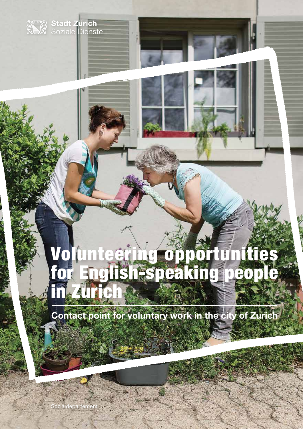# Volunteering opportunities for English-speaking people in Zurich O

**Contact point for voluntary work in the city of Zurich**

Sozialdepartement

Stadt Zürich<br>XV Soziale Dienste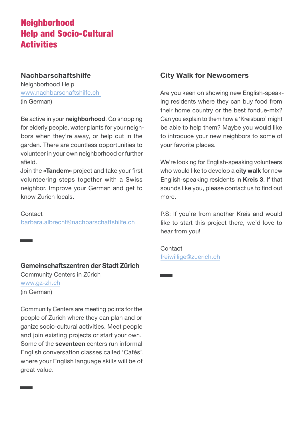# Neighborhood Help and Socio-Cultural **Activities**

#### **Nachbarschaftshilfe**

Neighborhood Help www.nachbarschaftshilfe.ch (in German)

Be active in your **neighborhood**. Go shopping for elderly people, water plants for your neighbors when they're away, or help out in the garden. There are countless opportunities to volunteer in your own neighborhood or further afield.

Join the **«Tandem»** project and take your first volunteering steps together with a Swiss neighbor. Improve your German and get to know Zurich locals.

Contact barbara.albrecht@nachbarschaftshilfe.ch

## **Gemeinschaftszentren der Stadt Zürich**

Community Centers in Zürich www.gz-zh.ch (in German)

Community Centers are meeting points for the people of Zurich where they can plan and organize socio-cultural activities. Meet people and join existing projects or start your own. Some of the **seventeen** centers run informal English conversation classes called 'Cafés', where your English language skills will be of great value.

## **City Walk for Newcomers**

Are you keen on showing new English-speaking residents where they can buy food from their home country or the best fondue-mix? Can you explain to them how a 'Kreisbüro' might be able to help them? Maybe you would like to introduce your new neighbors to some of your favorite places.

We're looking for English-speaking volunteers who would like to develop a **city walk** for new English-speaking residents in **Kreis 3**. If that sounds like you, please contact us to find out more.

P.S: If you're from another Kreis and would like to start this project there, we'd love to hear from you!

Contact freiwillige@zuerich.ch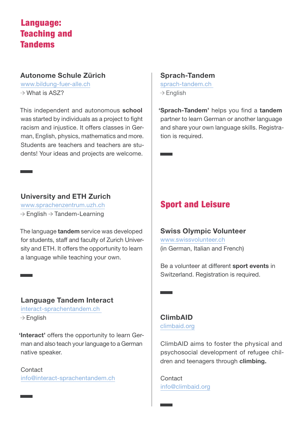## Language: Teaching and Tandems

## **Autonome Schule Zürich**

www.bildung-fuer-alle.ch  $\rightarrow$  What is AS7?

This independent and autonomous **school**  was started by individuals as a project to fight racism and injustice. It offers classes in German, English, physics, mathematics and more. Students are teachers and teachers are students! Your ideas and projects are welcome.

## **University and ETH Zurich**

www.sprachenzentrum.uzh.ch  $\rightarrow$  English  $\rightarrow$  Tandem-Learning

The language **tandem** service was developed for students, staff and faculty of Zurich University and ETH. It offers the opportunity to learn a language while teaching your own.

## **Language Tandem Interact**

interact-sprachentandem.ch  $\rightarrow$  English

**'Interact'** offers the opportunity to learn German and also teach your language to a German native speaker.

Contact info@interact-sprachentandem.ch

## **Sprach-Tandem**

sprach-tandem.ch  $\rightarrow$  English

**'Sprach-Tandem'** helps you find a **tandem** partner to learn German or another language and share your own language skills. Registration is required.

# Sport and Leisure

**Swiss Olympic Volunteer** www.swissvolunteer.ch (in German, Italian and French)

Be a volunteer at different **sport events** in Switzerland. Registration is required.

## **ClimbAID** climbaid.org

ClimbAID aims to foster the physical and psychosocial development of refugee children and teenagers through **climbing.**

Contact info@climbaid.org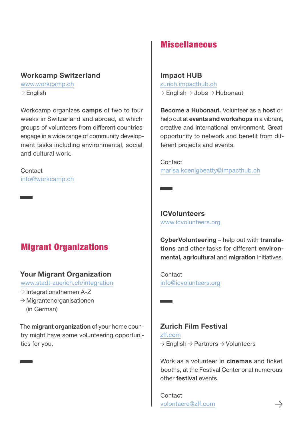#### **Workcamp Switzerland**

www.workcamp.ch  $\rightarrow$  English

Workcamp organizes **camps** of two to four weeks in Switzerland and abroad, at which groups of volunteers from different countries engage in a wide range of community development tasks including environmental, social and cultural work.

Contact info@workcamp.ch

# Migrant Organizations

## **Your Migrant Organization**

www.stadt-zuerich.ch/integration

- $\rightarrow$  Integrationsthemen A-Z
- $\rightarrow$  Migrantenorganisationen (in German)

The **migrant organization** of your home country might have some volunteering opportunities for you.

## **Miscellaneous**

### **Impact HUB**

zurich.impacthub.ch  $\rightarrow$  English  $\rightarrow$  Jobs  $\rightarrow$  Hubonaut

**Become a Hubonaut.** Volunteer as a **host** or help out at **events and workshops** in a vibrant, creative and international environment. Great opportunity to network and benefit from different projects and events.

Contact marisa.koenigbeatty@impacthub.ch

**ICVolunteers** www.icvolunteers.org

 $\sim$ 

**Contract Contract** 

**CyberVolunteering** – help out with **translations** and other tasks for different **environmental, agricultural** and **migration** initiatives.

Contact info@icvolunteers.org

## **Zurich Film Festival**

zff.com  $\rightarrow$  English  $\rightarrow$  Partners  $\rightarrow$  Volunteers

Work as a volunteer in **cinemas** and ticket booths, at the Festival Center or at numerous other **festival** events.

Contact volontaere@zff.com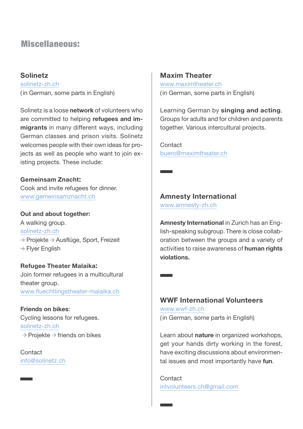## Miscellaneous:

## **Solinetz**

solinetz-zh.ch (in German, some parts in English)

Solinetz is a loose **network** of volunteers who are committed to helping **refugees and immigrants** in many different ways, including German classes and prison visits. Solinetz welcomes people with their own ideas for projects as well as people who want to join existing projects. These include:

#### **Gemeinsam Znacht:**

Cook and invite refugees for dinner. www.gemeinsamznacht.ch

**Out and about together:** 

A walking group. solinetz-zh.ch  $\rightarrow$  Projekte  $\rightarrow$  Ausflüge, Sport, Freizeit  $\rightarrow$  Flyer English

**Refugee Theater Malaika:**  Join former refugees in a multicultural theater group. www.fluechtlingstheater-malaika.ch

**Friends on bikes**: Cycling lessons for refugees. solinetz-zh.ch  $\rightarrow$  Projekte  $\rightarrow$  friends on bikes

Contact info@solinetz.ch

#### **Maxim Theater**

www.maximtheater.ch (in German, some parts in English)

Learning German by **singing and acting**. Groups for adults and for children and parents together. Various intercultural projects.

Contact buero@maximtheater.ch

**Amnesty International** 

www.amnesty-zh.ch

**Amnesty International** in Zurich has an English-speaking subgroup. There is close collaboration between the groups and a variety of activities to raise awareness of **human rights violations.**

## **WWF International Volunteers**

www.wwf-zh.ch (in German, some parts in English)

Learn about **nature** in organized workshops, get your hands dirty working in the forest, have exciting discussions about environmental issues and most importantly have **fun**.

Contact intvolunteers.ch@gmail.com